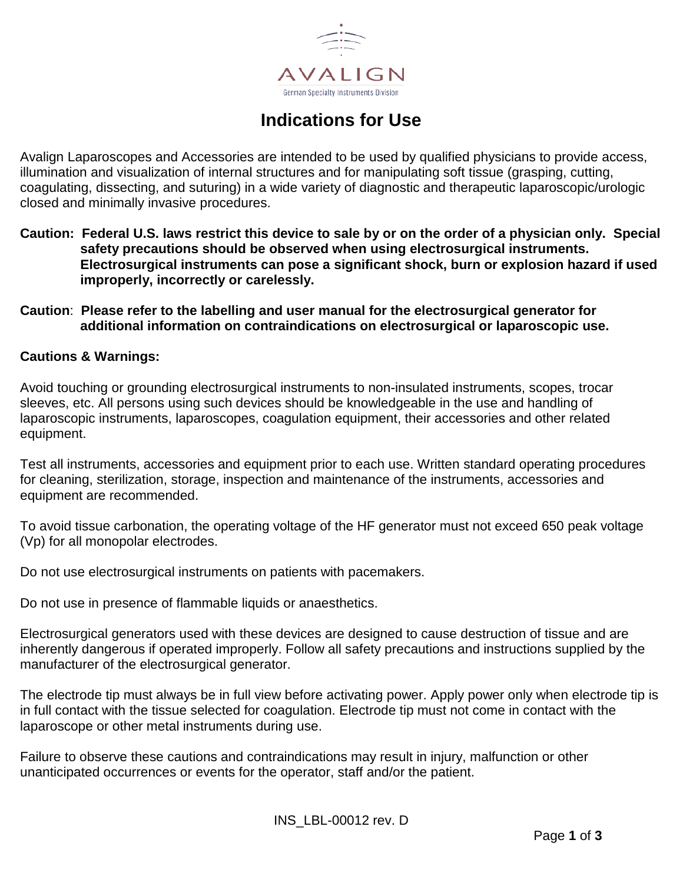

# **Indications for Use**

Avalign Laparoscopes and Accessories are intended to be used by qualified physicians to provide access, illumination and visualization of internal structures and for manipulating soft tissue (grasping, cutting, coagulating, dissecting, and suturing) in a wide variety of diagnostic and therapeutic laparoscopic/urologic closed and minimally invasive procedures.

- **Caution: Federal U.S. laws restrict this device to sale by or on the order of a physician only. Special safety precautions should be observed when using electrosurgical instruments. Electrosurgical instruments can pose a significant shock, burn or explosion hazard if used improperly, incorrectly or carelessly.**
- **Caution**: **Please refer to the labelling and user manual for the electrosurgical generator for additional information on contraindications on electrosurgical or laparoscopic use.**

### **Cautions & Warnings:**

Avoid touching or grounding electrosurgical instruments to non-insulated instruments, scopes, trocar sleeves, etc. All persons using such devices should be knowledgeable in the use and handling of laparoscopic instruments, laparoscopes, coagulation equipment, their accessories and other related equipment.

Test all instruments, accessories and equipment prior to each use. Written standard operating procedures for cleaning, sterilization, storage, inspection and maintenance of the instruments, accessories and equipment are recommended.

To avoid tissue carbonation, the operating voltage of the HF generator must not exceed 650 peak voltage (Vp) for all monopolar electrodes.

Do not use electrosurgical instruments on patients with pacemakers.

Do not use in presence of flammable liquids or anaesthetics.

Electrosurgical generators used with these devices are designed to cause destruction of tissue and are inherently dangerous if operated improperly. Follow all safety precautions and instructions supplied by the manufacturer of the electrosurgical generator.

The electrode tip must always be in full view before activating power. Apply power only when electrode tip is in full contact with the tissue selected for coagulation. Electrode tip must not come in contact with the laparoscope or other metal instruments during use.

Failure to observe these cautions and contraindications may result in injury, malfunction or other unanticipated occurrences or events for the operator, staff and/or the patient.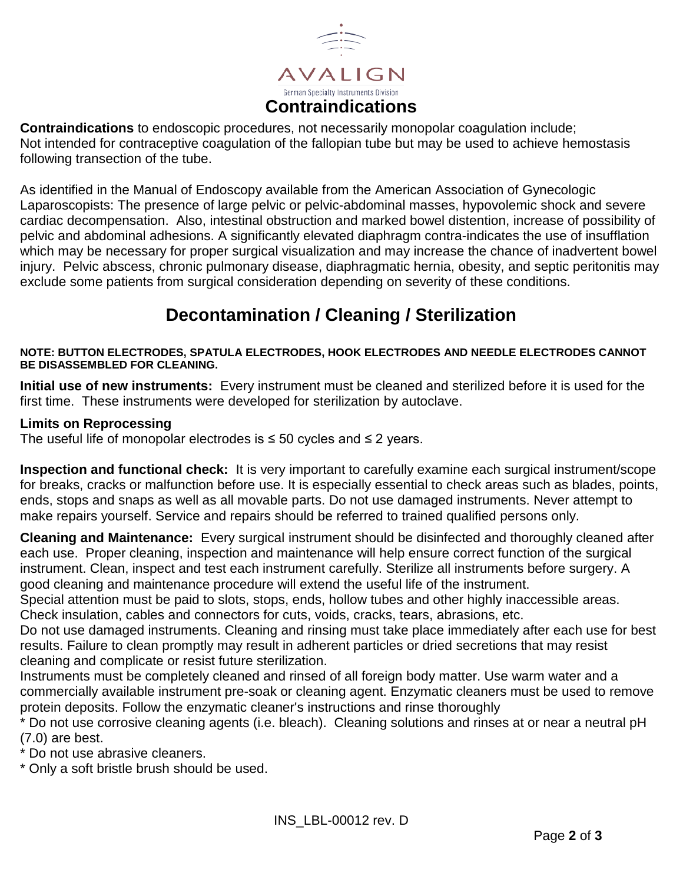

**Contraindications** to endoscopic procedures, not necessarily monopolar coagulation include; Not intended for contraceptive coagulation of the fallopian tube but may be used to achieve hemostasis following transection of the tube.

As identified in the Manual of Endoscopy available from the American Association of Gynecologic Laparoscopists: The presence of large pelvic or pelvic-abdominal masses, hypovolemic shock and severe cardiac decompensation. Also, intestinal obstruction and marked bowel distention, increase of possibility of pelvic and abdominal adhesions. A significantly elevated diaphragm contra-indicates the use of insufflation which may be necessary for proper surgical visualization and may increase the chance of inadvertent bowel injury. Pelvic abscess, chronic pulmonary disease, diaphragmatic hernia, obesity, and septic peritonitis may exclude some patients from surgical consideration depending on severity of these conditions.

## **Decontamination / Cleaning / Sterilization**

### **NOTE: BUTTON ELECTRODES, SPATULA ELECTRODES, HOOK ELECTRODES AND NEEDLE ELECTRODES CANNOT BE DISASSEMBLED FOR CLEANING.**

**Initial use of new instruments:** Every instrument must be cleaned and sterilized before it is used for the first time. These instruments were developed for sterilization by autoclave.

### **Limits on Reprocessing**

The useful life of monopolar electrodes is  $\leq$  50 cycles and  $\leq$  2 years.

**Inspection and functional check:** It is very important to carefully examine each surgical instrument/scope for breaks, cracks or malfunction before use. It is especially essential to check areas such as blades, points, ends, stops and snaps as well as all movable parts. Do not use damaged instruments. Never attempt to make repairs yourself. Service and repairs should be referred to trained qualified persons only.

**Cleaning and Maintenance:** Every surgical instrument should be disinfected and thoroughly cleaned after each use. Proper cleaning, inspection and maintenance will help ensure correct function of the surgical instrument. Clean, inspect and test each instrument carefully. Sterilize all instruments before surgery. A good cleaning and maintenance procedure will extend the useful life of the instrument.

Special attention must be paid to slots, stops, ends, hollow tubes and other highly inaccessible areas. Check insulation, cables and connectors for cuts, voids, cracks, tears, abrasions, etc.

Do not use damaged instruments. Cleaning and rinsing must take place immediately after each use for best results. Failure to clean promptly may result in adherent particles or dried secretions that may resist cleaning and complicate or resist future sterilization.

Instruments must be completely cleaned and rinsed of all foreign body matter. Use warm water and a commercially available instrument pre-soak or cleaning agent. Enzymatic cleaners must be used to remove protein deposits. Follow the enzymatic cleaner's instructions and rinse thoroughly

\* Do not use corrosive cleaning agents (i.e. bleach). Cleaning solutions and rinses at or near a neutral pH (7.0) are best.

\* Do not use abrasive cleaners.

\* Only a soft bristle brush should be used.